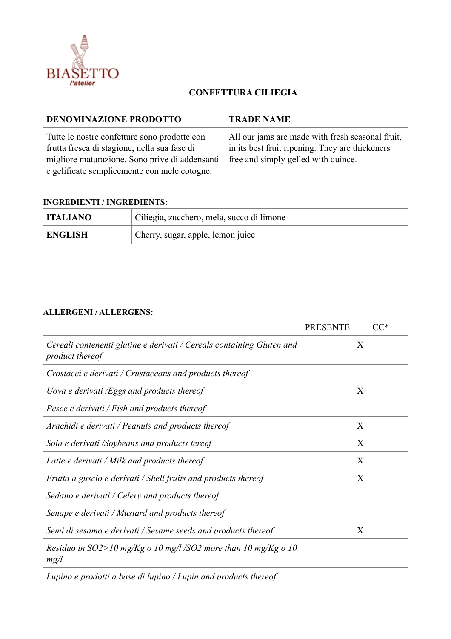

## **CONFETTURA CILIEGIA**

| <b>DENOMINAZIONE PRODOTTO</b>                                                                                                                                                                  | <b>TRADE NAME</b>                                                                                                                          |
|------------------------------------------------------------------------------------------------------------------------------------------------------------------------------------------------|--------------------------------------------------------------------------------------------------------------------------------------------|
| Tutte le nostre confetture sono prodotte con<br>frutta fresca di stagione, nella sua fase di<br>migliore maturazione. Sono prive di addensanti<br>e gelificate semplicemente con mele cotogne. | All our jams are made with fresh seasonal fruit,<br>in its best fruit ripening. They are thickeners<br>free and simply gelled with quince. |

## **INGREDIENTI / INGREDIENTS:**

| <b>ITALIANO</b> | Ciliegia, zucchero, mela, succo di limone |
|-----------------|-------------------------------------------|
| <b>ENGLISH</b>  | Cherry, sugar, apple, lemon juice         |

## **ALLERGENI / ALLERGENS:**

|                                                                                          | <b>PRESENTE</b> | $CC^*$       |
|------------------------------------------------------------------------------------------|-----------------|--------------|
| Cereali contenenti glutine e derivati / Cereals containing Gluten and<br>product thereof |                 | X            |
| Crostacei e derivati / Crustaceans and products thereof                                  |                 |              |
| Uova e derivati /Eggs and products thereof                                               |                 | X            |
| Pesce e derivati / Fish and products thereof                                             |                 |              |
| Arachidi e derivati / Peanuts and products thereof                                       |                 | $\mathbf{X}$ |
| Soia e derivati /Soybeans and products tereof                                            |                 | X            |
| Latte e derivati / Milk and products thereof                                             |                 | X            |
| Frutta a guscio e derivati / Shell fruits and products thereof                           |                 | X            |
| Sedano e derivati / Celery and products thereof                                          |                 |              |
| Senape e derivati / Mustard and products thereof                                         |                 |              |
| Semi di sesamo e derivati / Sesame seeds and products thereof                            |                 | X            |
| Residuo in SO2>10 mg/Kg o 10 mg/l /SO2 more than 10 mg/Kg o 10<br>mg/l                   |                 |              |
| Lupino e prodotti a base di lupino / Lupin and products thereof                          |                 |              |